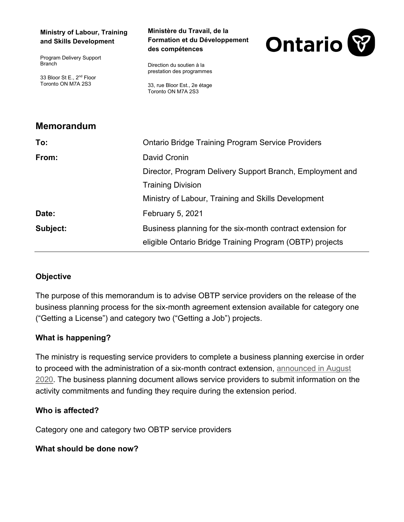#### **Ministry of Labour, Training and Skills Development**

Program Delivery Support Branch

33 Bloor St E., 2<sup>nd</sup> Floor Toronto ON M7A 2S3

**Memorandum** 

#### **Ministère du Travail, de la Formation et du Développement des compétences**



Direction du soutien à la prestation des programmes

33, rue Bloor Est., 2e étage Toronto ON M7A 2S3

| <u>Menoranuum</u> |                                                            |
|-------------------|------------------------------------------------------------|
| To:               | <b>Ontario Bridge Training Program Service Providers</b>   |
| From:             | David Cronin                                               |
|                   | Director, Program Delivery Support Branch, Employment and  |
|                   | <b>Training Division</b>                                   |
|                   | Ministry of Labour, Training and Skills Development        |
| Date:             | <b>February 5, 2021</b>                                    |
| Subject:          | Business planning for the six-month contract extension for |
|                   | eligible Ontario Bridge Training Program (OBTP) projects   |

## **Objective**

The purpose of this memorandum is to advise OBTP service providers on the release of the business planning process for the six-month agreement extension available for category one ("Getting a License") and category two ("Getting a Job") projects.

### **What is happening?**

The ministry is requesting service providers to complete a business planning exercise in order to proceed with the administration of a six-month contract extension, [announced in August](http://www.tcu.gov.on.ca/eng/eopg/publications/obtp-memo-extension-contracts-en.pdf)  [2020.](http://www.tcu.gov.on.ca/eng/eopg/publications/obtp-memo-extension-contracts-en.pdf) The business planning document allows service providers to submit information on the activity commitments and funding they require during the extension period.

### **Who is affected?**

Category one and category two OBTP service providers

### **What should be done now?**